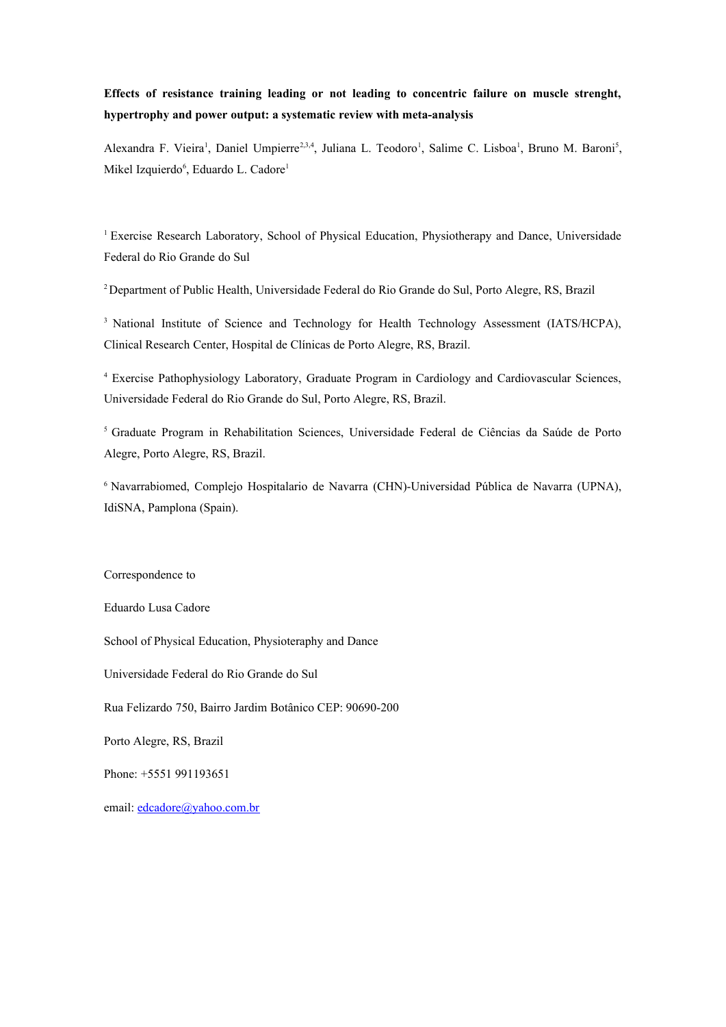## **Effects of resistance training leading or not leading to concentric failure on muscle strenght, hypertrophy and power output: a systematic review with meta-analysis**

Alexandra F. Vieira<sup>1</sup>, Daniel Umpierre<sup>2,3,4</sup>, Juliana L. Teodoro<sup>1</sup>, Salime C. Lisboa<sup>1</sup>, Bruno M. Baroni<sup>5</sup>, Mikel Izquierdo<sup>6</sup>, Eduardo L. Cadore<sup>1</sup>

<sup>1</sup> Exercise Research Laboratory, School of Physical Education, Physiotherapy and Dance, Universidade Federal do Rio Grande do Sul

<sup>2</sup>Department of Public Health, Universidade Federal do Rio Grande do Sul, Porto Alegre, RS, Brazil

<sup>3</sup> National Institute of Science and Technology for Health Technology Assessment (IATS/HCPA), Clinical Research Center, Hospital de Clínicas de Porto Alegre, RS, Brazil.

4 Exercise Pathophysiology Laboratory, Graduate Program in Cardiology and Cardiovascular Sciences, Universidade Federal do Rio Grande do Sul, Porto Alegre, RS, Brazil.

<sup>5</sup>Graduate Program in Rehabilitation Sciences, Universidade Federal de Ciências da Saúde de Porto Alegre, Porto Alegre, RS, Brazil.

<sup>6</sup> Navarrabiomed, Complejo Hospitalario de Navarra (CHN)-Universidad Pública de Navarra (UPNA), IdiSNA, Pamplona (Spain).

## Correspondence to

Eduardo Lusa Cadore

School of Physical Education, Physioteraphy and Dance

Universidade Federal do Rio Grande do Sul

Rua Felizardo 750, Bairro Jardim Botânico CEP: 90690-200

Porto Alegre, RS, Brazil

Phone: +5551 991193651

email: [edcadore@yahoo.com.br](mailto:edcadore@yahoo.com.br)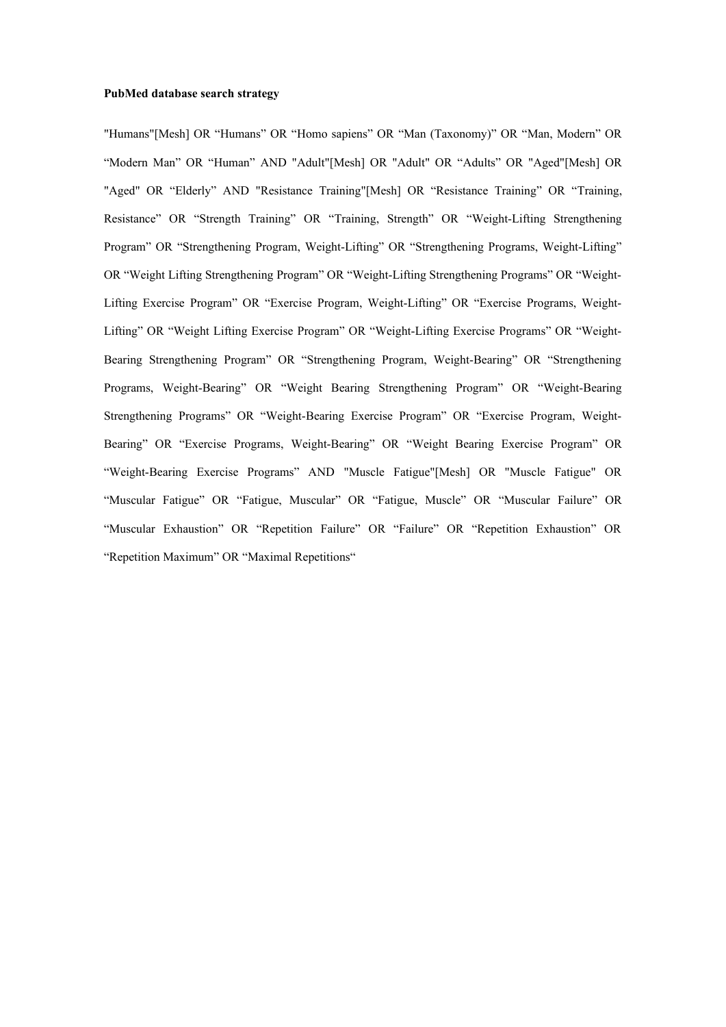## **PubMed database search strategy**

"Humans"[Mesh] OR "Humans" OR "Homo sapiens" OR "Man (Taxonomy)" OR "Man, Modern" OR "Modern Man" OR "Human" AND "Adult"[Mesh] OR "Adult" OR "Adults" OR "Aged"[Mesh] OR "Aged" OR "Elderly" AND "Resistance Training"[Mesh] OR "Resistance Training" OR "Training, Resistance" OR "Strength Training" OR "Training, Strength" OR "Weight-Lifting Strengthening Program" OR "Strengthening Program, Weight-Lifting" OR "Strengthening Programs, Weight-Lifting" OR "Weight Lifting Strengthening Program" OR "Weight-Lifting Strengthening Programs" OR "Weight-Lifting Exercise Program" OR "Exercise Program, Weight-Lifting" OR "Exercise Programs, Weight-Lifting" OR "Weight Lifting Exercise Program" OR "Weight-Lifting Exercise Programs" OR "Weight-Bearing Strengthening Program" OR "Strengthening Program, Weight-Bearing" OR "Strengthening Programs, Weight-Bearing" OR "Weight Bearing Strengthening Program" OR "Weight-Bearing Strengthening Programs" OR "Weight-Bearing Exercise Program" OR "Exercise Program, Weight-Bearing" OR "Exercise Programs, Weight-Bearing" OR "Weight Bearing Exercise Program" OR "Weight-Bearing Exercise Programs" AND "Muscle Fatigue"[Mesh] OR "Muscle Fatigue" OR "Muscular Fatigue" OR "Fatigue, Muscular" OR "Fatigue, Muscle" OR "Muscular Failure" OR "Muscular Exhaustion" OR "Repetition Failure" OR "Failure" OR "Repetition Exhaustion" OR "Repetition Maximum" OR "Maximal Repetitions"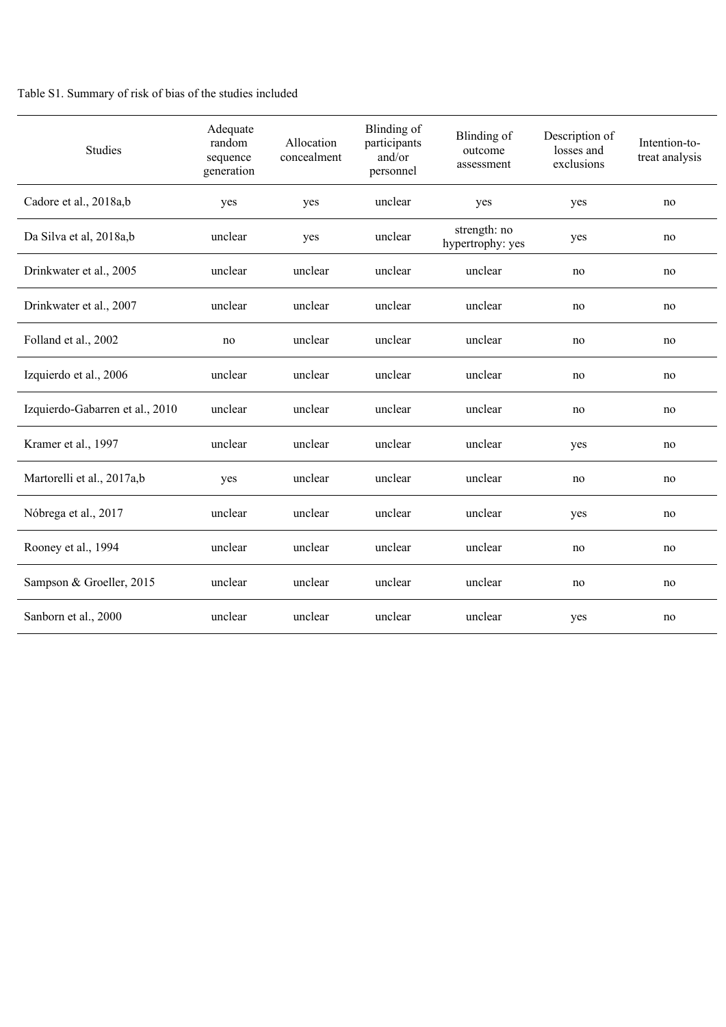## Table S1. Summary of risk of bias of the studies included

| Studies                         | Adequate<br>random<br>sequence<br>generation | Allocation<br>concealment | Blinding of<br>participants<br>and/or<br>personnel | Blinding of<br>outcome<br>assessment | Description of<br>losses and<br>exclusions | Intention-to-<br>treat analysis |
|---------------------------------|----------------------------------------------|---------------------------|----------------------------------------------------|--------------------------------------|--------------------------------------------|---------------------------------|
| Cadore et al., 2018a,b          | yes                                          | yes                       | unclear                                            | yes                                  | yes                                        | no                              |
| Da Silva et al, 2018a,b         | unclear                                      | yes                       | unclear                                            | strength: no<br>hypertrophy: yes     | yes                                        | no                              |
| Drinkwater et al., 2005         | unclear                                      | unclear                   | unclear                                            | unclear                              | no                                         | no                              |
| Drinkwater et al., 2007         | unclear                                      | unclear                   | unclear                                            | unclear                              | no                                         | no                              |
| Folland et al., 2002            | no                                           | unclear                   | unclear                                            | unclear                              | no                                         | no                              |
| Izquierdo et al., 2006          | unclear                                      | unclear                   | unclear                                            | unclear                              | no                                         | no                              |
| Izquierdo-Gabarren et al., 2010 | unclear                                      | unclear                   | unclear                                            | unclear                              | no                                         | no                              |
| Kramer et al., 1997             | unclear                                      | unclear                   | unclear                                            | unclear                              | yes                                        | no                              |
| Martorelli et al., 2017a,b      | yes                                          | unclear                   | unclear                                            | unclear                              | no                                         | no                              |
| Nóbrega et al., 2017            | unclear                                      | unclear                   | unclear                                            | unclear                              | yes                                        | no                              |
| Rooney et al., 1994             | unclear                                      | unclear                   | unclear                                            | unclear                              | no                                         | no                              |
| Sampson & Groeller, 2015        | unclear                                      | unclear                   | unclear                                            | unclear                              | no                                         | no                              |
| Sanborn et al., 2000            | unclear                                      | unclear                   | unclear                                            | unclear                              | yes                                        | no                              |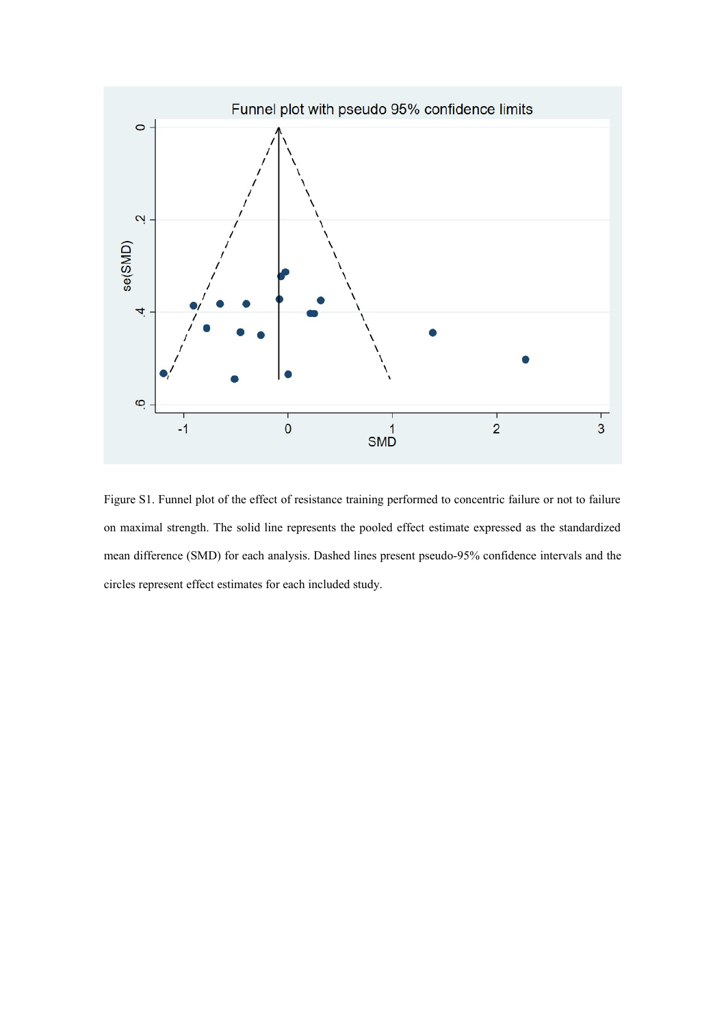

Figure S1. Funnel plot of the effect of resistance training performed to concentric failure or not to failure on maximal strength. The solid line represents the pooled effect estimate expressed as the standardized mean difference (SMD) for each analysis. Dashed lines present pseudo-95% confidence intervals and the circles represent effect estimates for each included study.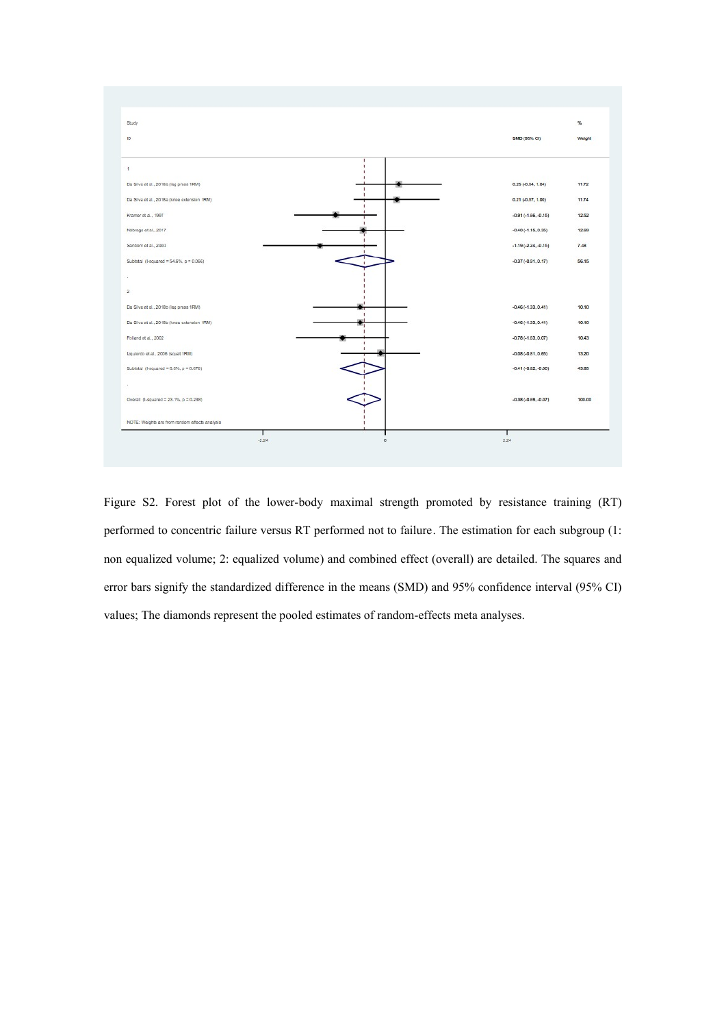

Figure S2. Forest plot of the lower-body maximal strength promoted by resistance training (RT) performed to concentric failure versus RT performed not to failure. The estimation for each subgroup (1: non equalized volume; 2: equalized volume) and combined effect (overall) are detailed. The squares and error bars signify the standardized difference in the means (SMD) and 95% confidence interval (95% CI) values; The diamonds represent the pooled estimates of random-effects meta analyses.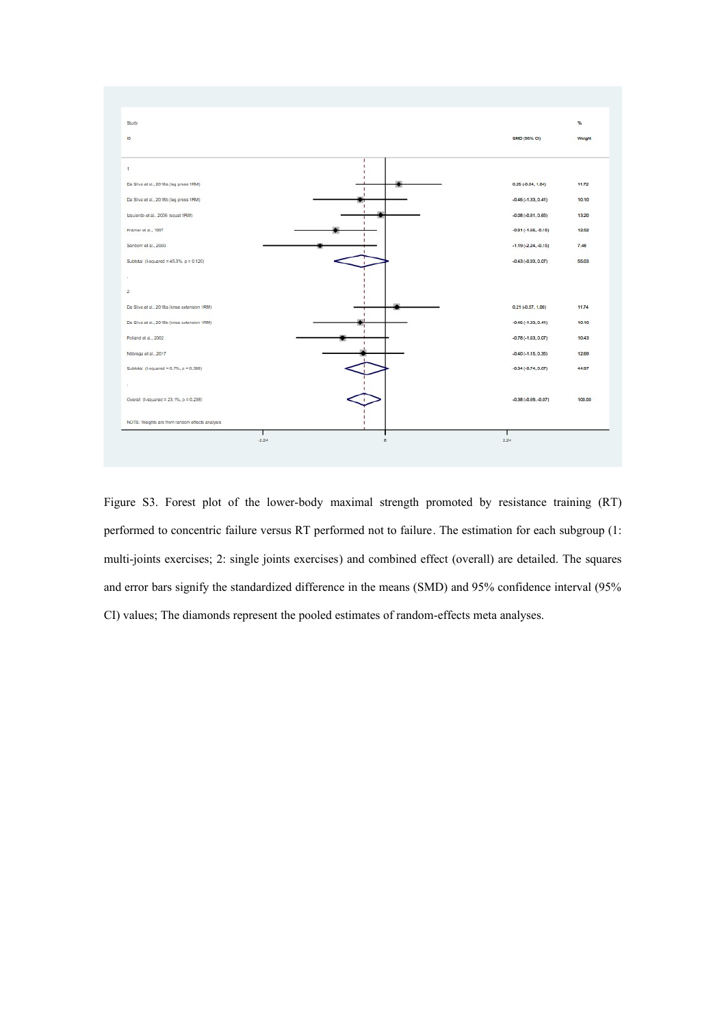

Figure S3. Forest plot of the lower-body maximal strength promoted by resistance training (RT) performed to concentric failure versus RT performed not to failure. The estimation for each subgroup (1: multi-joints exercises; 2: single joints exercises) and combined effect (overall) are detailed. The squares and error bars signify the standardized difference in the means (SMD) and 95% confidence interval (95% CI) values; The diamonds represent the pooled estimates of random-effects meta analyses.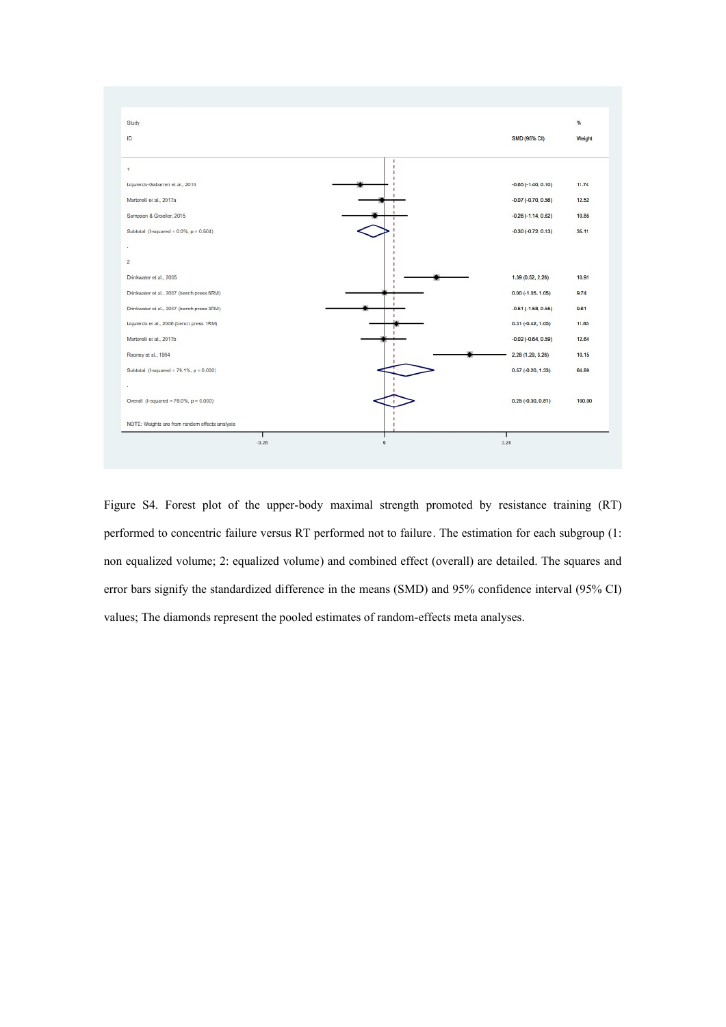

Figure S4. Forest plot of the upper-body maximal strength promoted by resistance training (RT) performed to concentric failure versus RT performed not to failure. The estimation for each subgroup (1: non equalized volume; 2: equalized volume) and combined effect (overall) are detailed. The squares and error bars signify the standardized difference in the means (SMD) and 95% confidence interval (95% CI) values; The diamonds represent the pooled estimates of random-effects meta analyses.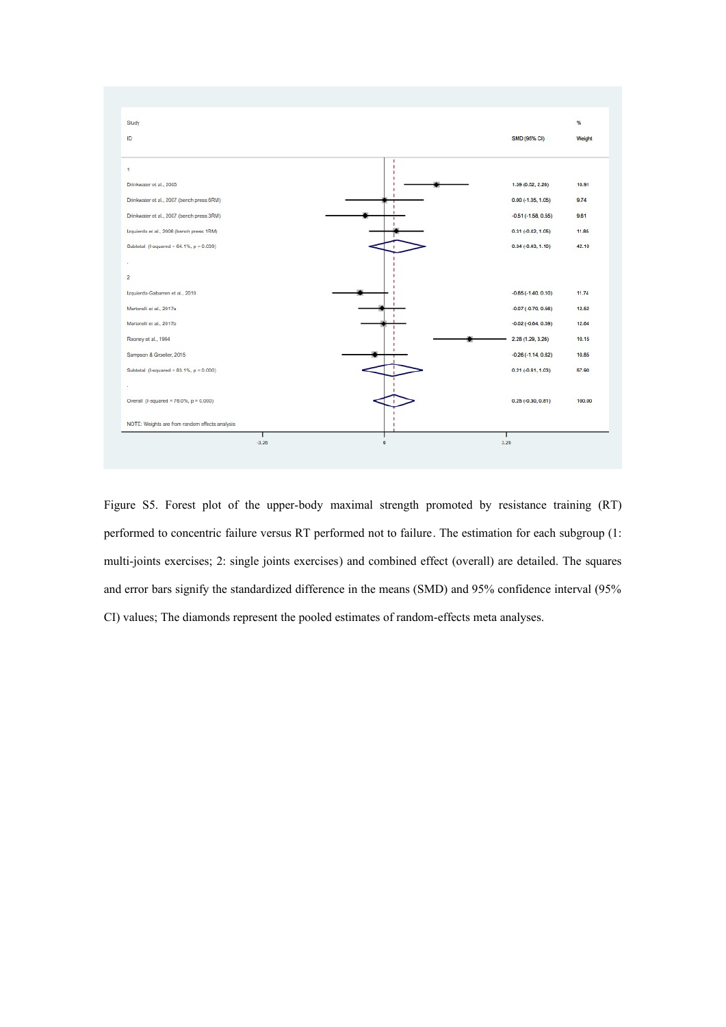

Figure S5. Forest plot of the upper-body maximal strength promoted by resistance training (RT) performed to concentric failure versus RT performed not to failure. The estimation for each subgroup (1: multi-joints exercises; 2: single joints exercises) and combined effect (overall) are detailed. The squares and error bars signify the standardized difference in the means (SMD) and 95% confidence interval (95% CI) values; The diamonds represent the pooled estimates of random-effects meta analyses.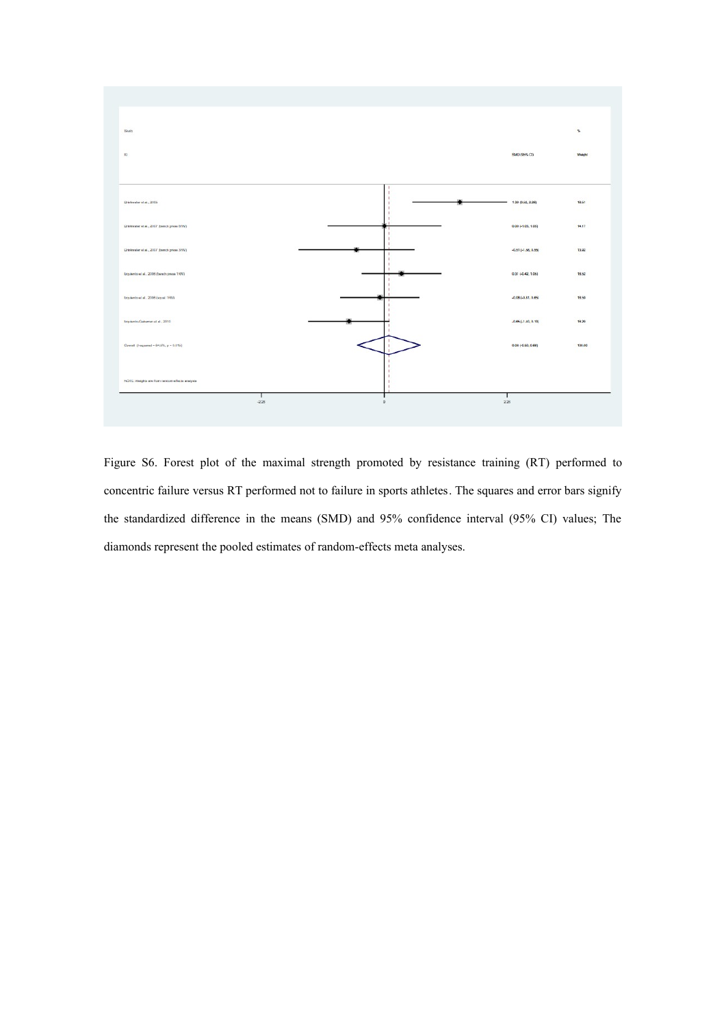

Figure S6. Forest plot of the maximal strength promoted by resistance training (RT) performed to concentric failure versus RT performed not to failure in sports athletes. The squares and error bars signify the standardized difference in the means (SMD) and 95% confidence interval (95% CI) values; The diamonds represent the pooled estimates of random-effects meta analyses.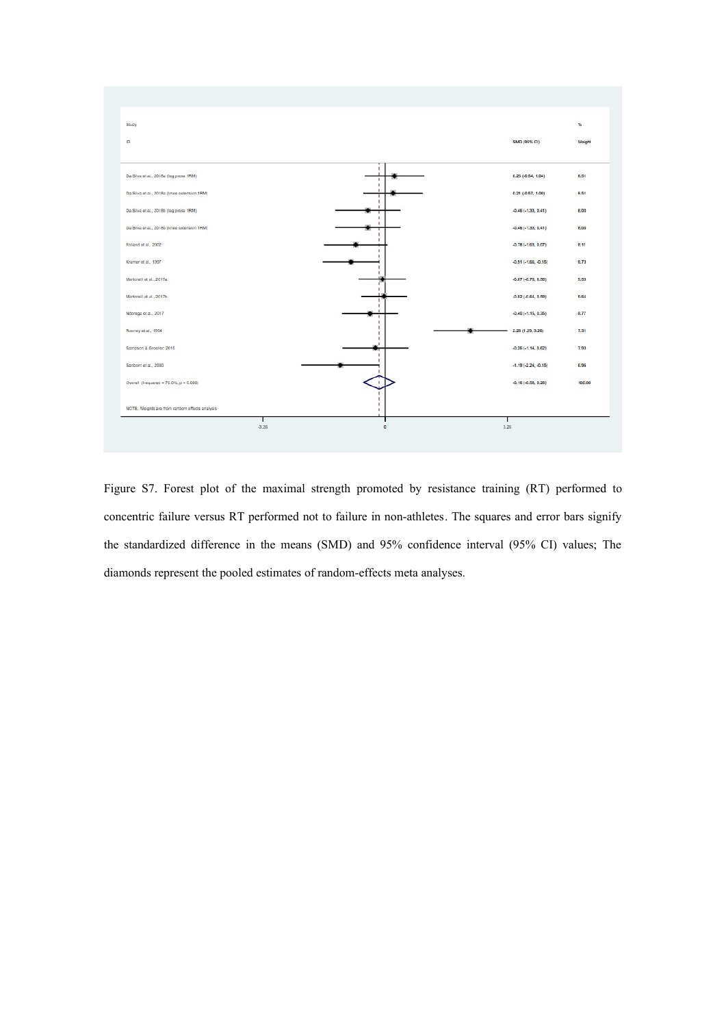

Figure S7. Forest plot of the maximal strength promoted by resistance training (RT) performed to concentric failure versus RT performed not to failure in non-athletes. The squares and error bars signify the standardized difference in the means (SMD) and 95% confidence interval (95% CI) values; The diamonds represent the pooled estimates of random-effects meta analyses.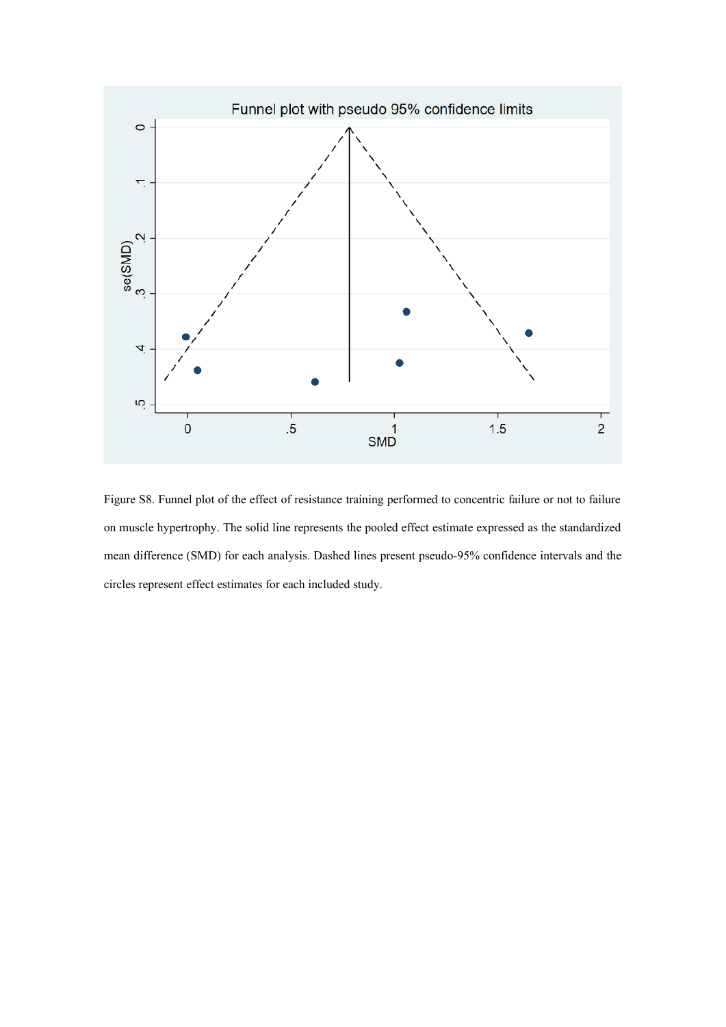

Figure S8. Funnel plot of the effect of resistance training performed to concentric failure or not to failure on muscle hypertrophy. The solid line represents the pooled effect estimate expressed as the standardized mean difference (SMD) for each analysis. Dashed lines present pseudo-95% confidence intervals and the circles represent effect estimates for each included study.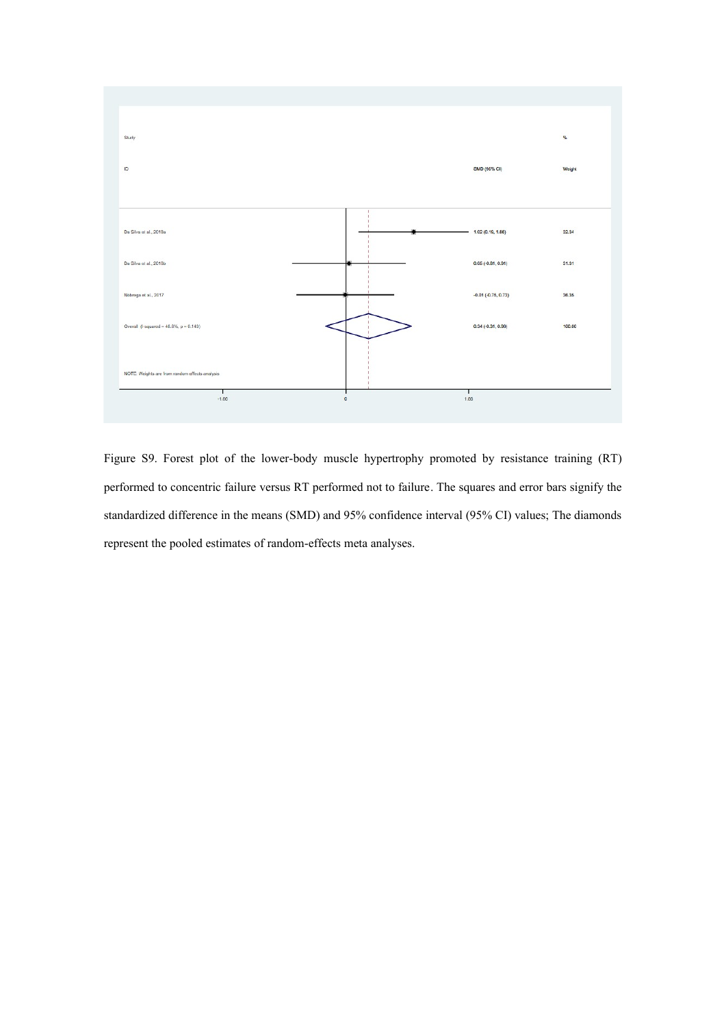

Figure S9. Forest plot of the lower-body muscle hypertrophy promoted by resistance training (RT) performed to concentric failure versus RT performed not to failure. The squares and error bars signify the standardized difference in the means (SMD) and 95% confidence interval (95% CI) values; The diamonds represent the pooled estimates of random-effects meta analyses.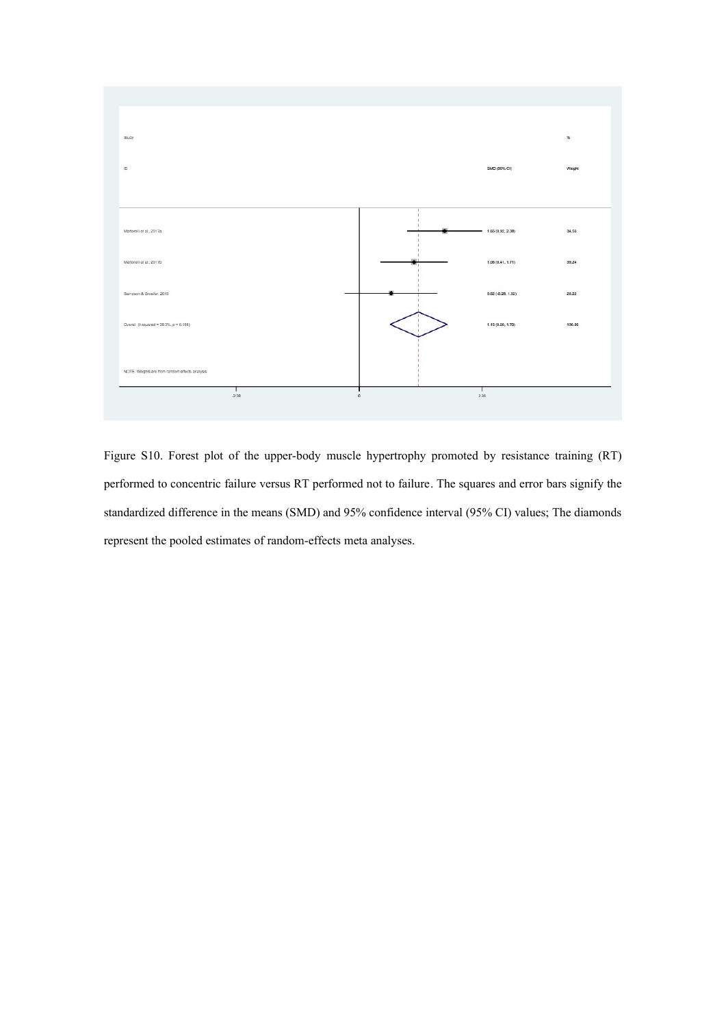

Figure S10. Forest plot of the upper-body muscle hypertrophy promoted by resistance training (RT) performed to concentric failure versus RT performed not to failure. The squares and error bars signify the standardized difference in the means (SMD) and 95% confidence interval (95% CI) values; The diamonds represent the pooled estimates of random-effects meta analyses.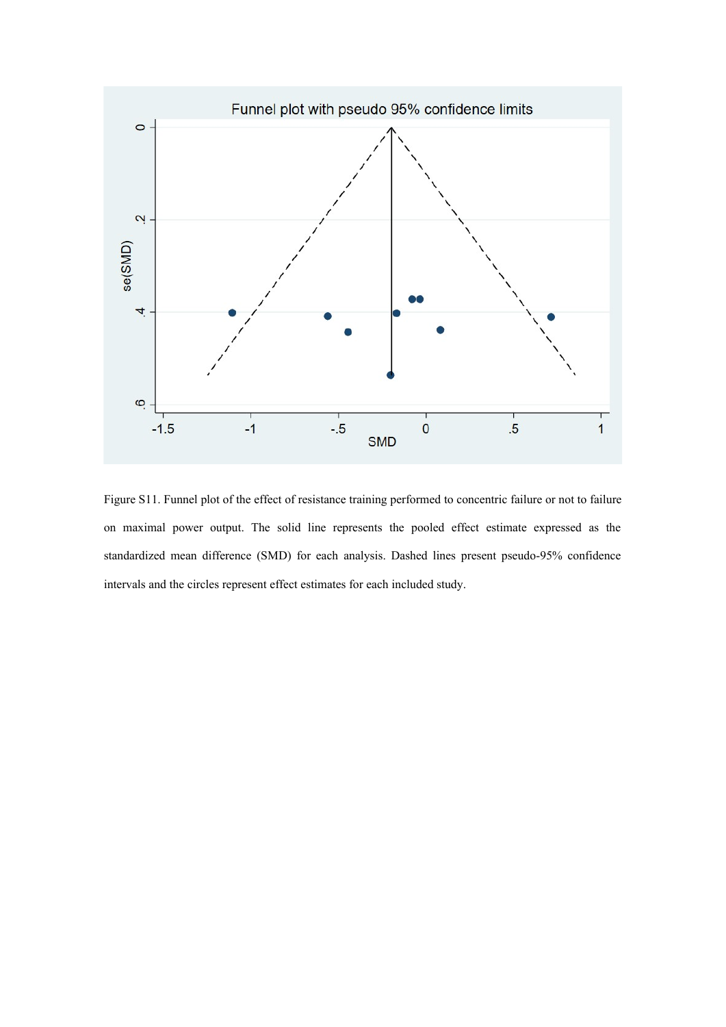

Figure S11. Funnel plot of the effect of resistance training performed to concentric failure or not to failure on maximal power output. The solid line represents the pooled effect estimate expressed as the standardized mean difference (SMD) for each analysis. Dashed lines present pseudo-95% confidence intervals and the circles represent effect estimates for each included study.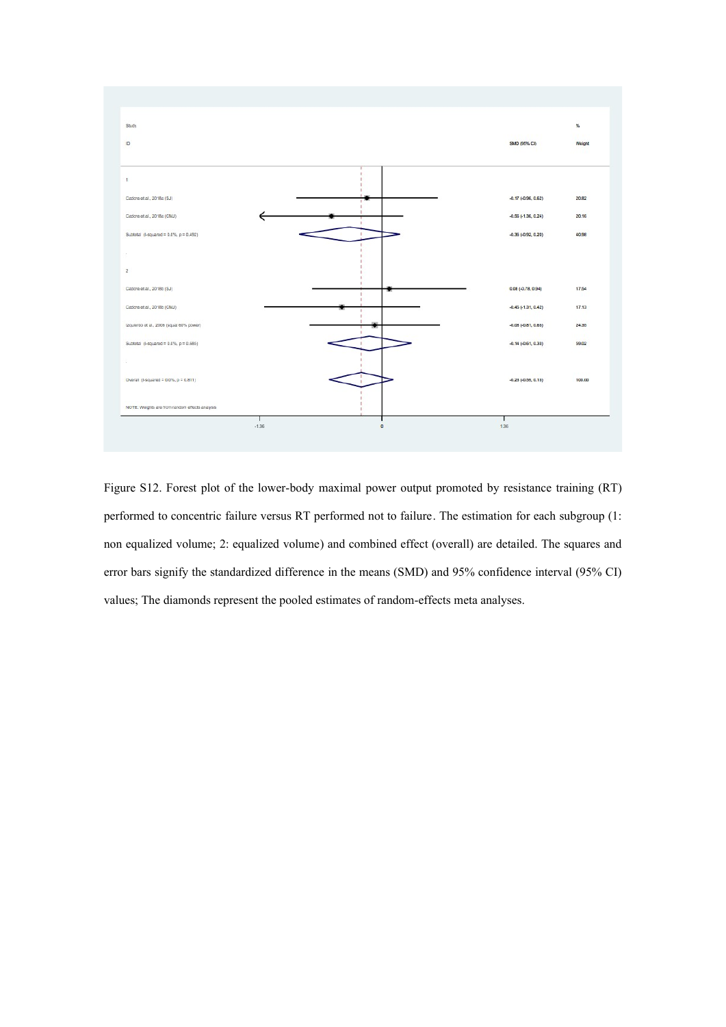

Figure S12. Forest plot of the lower-body maximal power output promoted by resistance training (RT) performed to concentric failure versus RT performed not to failure. The estimation for each subgroup (1: non equalized volume; 2: equalized volume) and combined effect (overall) are detailed. The squares and error bars signify the standardized difference in the means (SMD) and 95% confidence interval (95% CI) values; The diamonds represent the pooled estimates of random-effects meta analyses.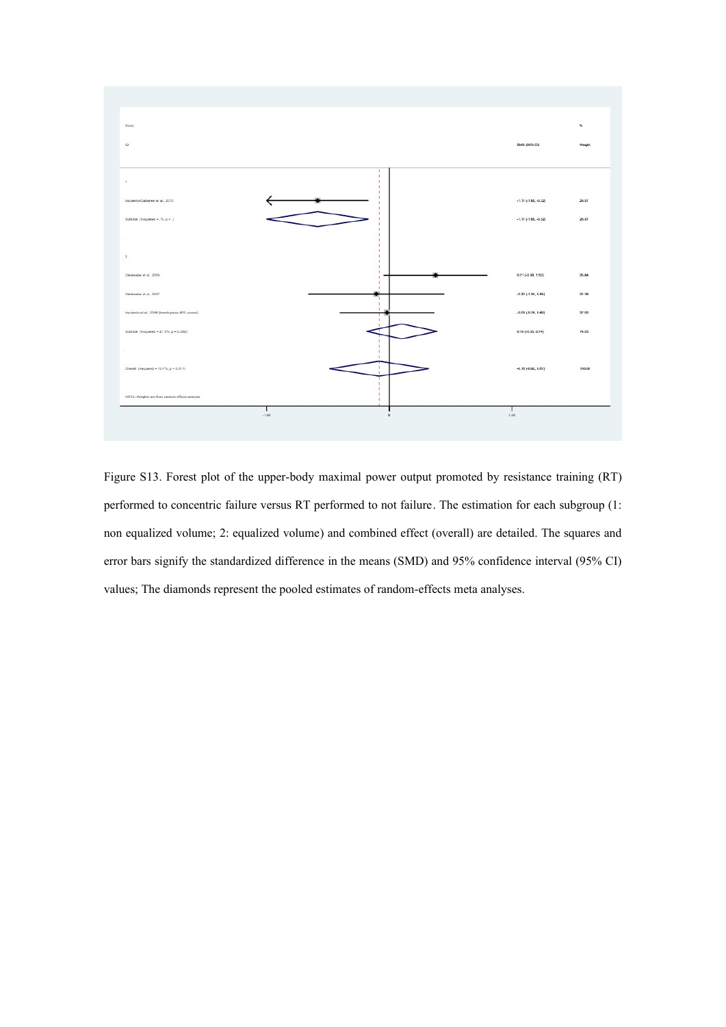

Figure S13. Forest plot of the upper-body maximal power output promoted by resistance training (RT) performed to concentric failure versus RT performed to not failure. The estimation for each subgroup (1: non equalized volume; 2: equalized volume) and combined effect (overall) are detailed. The squares and error bars signify the standardized difference in the means (SMD) and 95% confidence interval (95% CI) values; The diamonds represent the pooled estimates of random-effects meta analyses.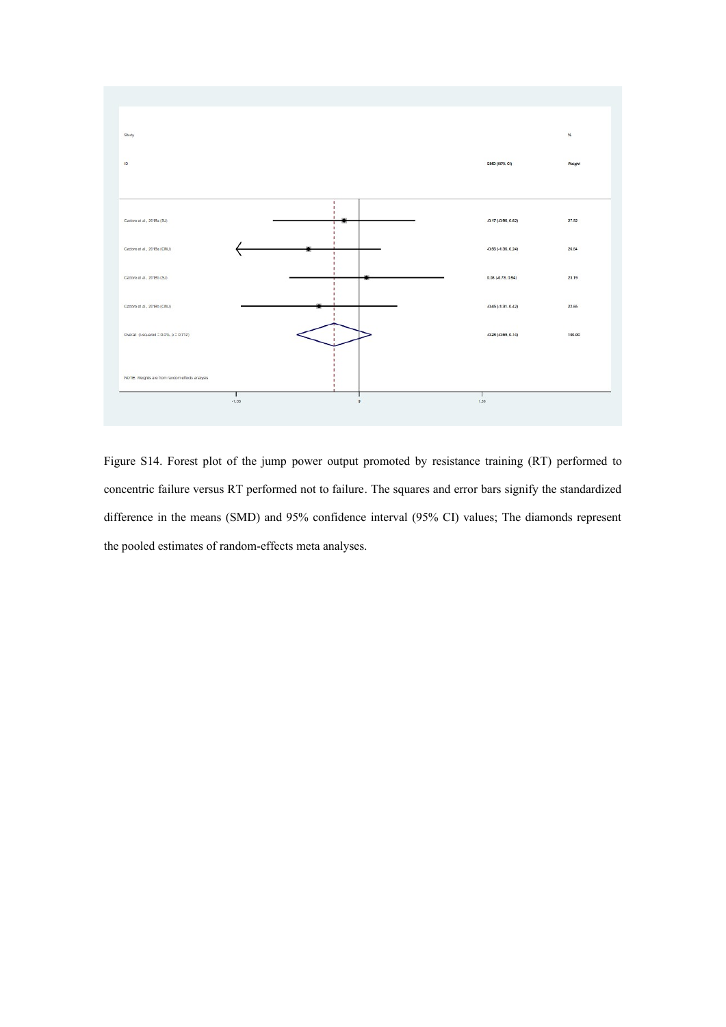

Figure S14. Forest plot of the jump power output promoted by resistance training (RT) performed to concentric failure versus RT performed not to failure. The squares and error bars signify the standardized difference in the means (SMD) and 95% confidence interval (95% CI) values; The diamonds represent the pooled estimates of random-effects meta analyses.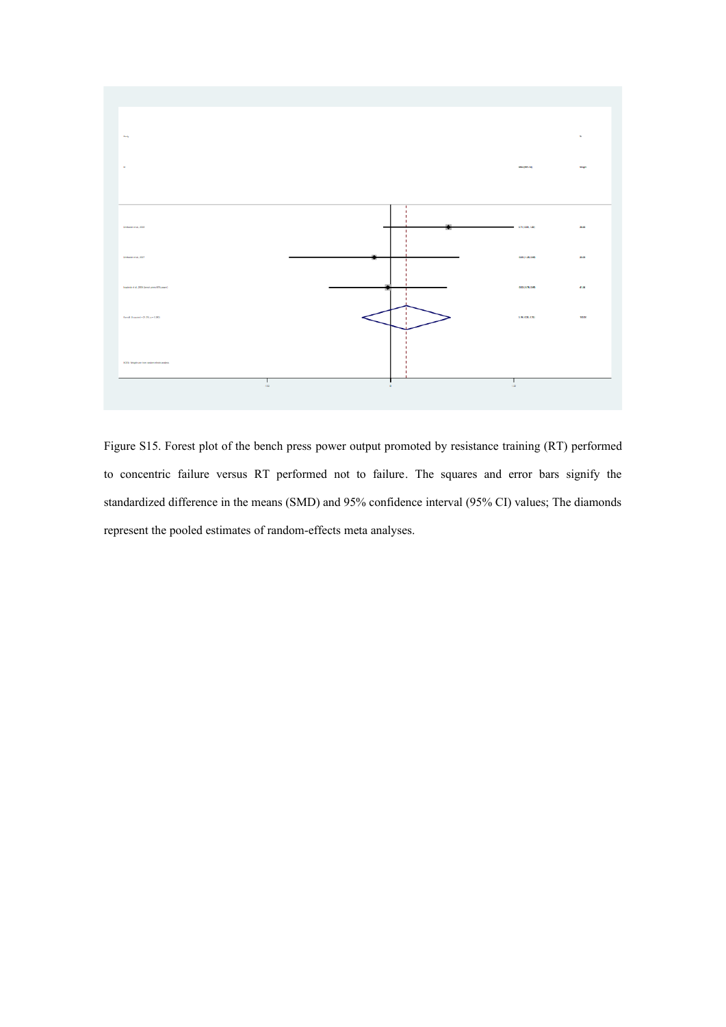

Figure S15. Forest plot of the bench press power output promoted by resistance training (RT) performed to concentric failure versus RT performed not to failure. The squares and error bars signify the standardized difference in the means (SMD) and 95% confidence interval (95% CI) values; The diamonds represent the pooled estimates of random-effects meta analyses.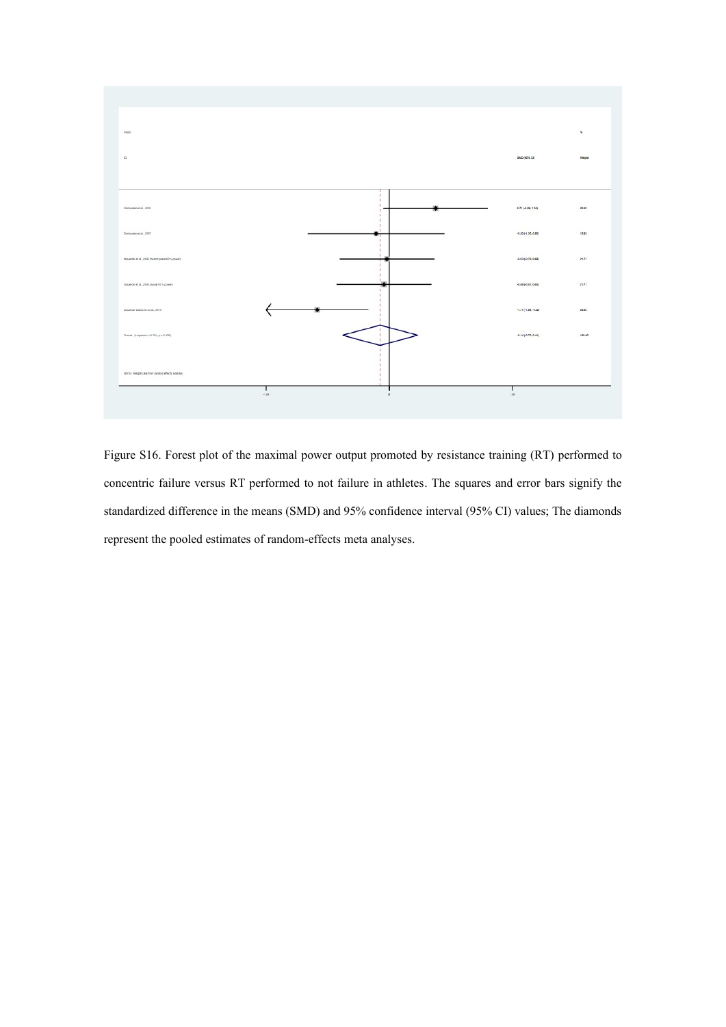

Figure S16. Forest plot of the maximal power output promoted by resistance training (RT) performed to concentric failure versus RT performed to not failure in athletes. The squares and error bars signify the standardized difference in the means (SMD) and 95% confidence interval (95% CI) values; The diamonds represent the pooled estimates of random-effects meta analyses.